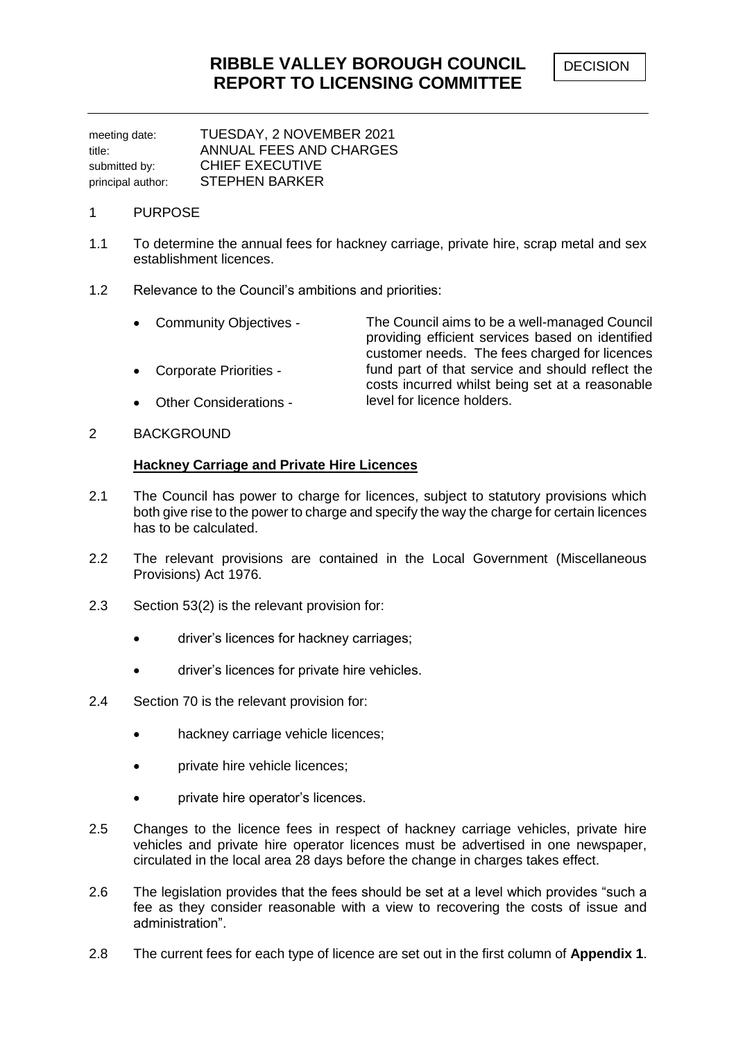meeting date: TUESDAY, 2 NOVEMBER 2021 title: ANNUAL FEES AND CHARGES submitted by: CHIEF EXECUTIVE principal author: STEPHEN BARKER

### 1 PURPOSE

- 1.1 To determine the annual fees for hackney carriage, private hire, scrap metal and sex establishment licences.
- 1.2 Relevance to the Council's ambitions and priorities:

|  | • Community Objectives - | The Council aims to be a well-managed Council    |
|--|--------------------------|--------------------------------------------------|
|  |                          | providing efficient services based on identified |
|  |                          | customer needs. The fees charged for licences    |
|  | • Corporate Priorities - | fund part of that service and should reflect the |
|  |                          | costs incurred whilst being set at a reasonable  |
|  | • Other Considerations - | level for licence holders.                       |

2 BACKGROUND

### **Hackney Carriage and Private Hire Licences**

- 2.1 The Council has power to charge for licences, subject to statutory provisions which both give rise to the power to charge and specify the way the charge for certain licences has to be calculated.
- 2.2 The relevant provisions are contained in the Local Government (Miscellaneous Provisions) Act 1976.
- 2.3 Section 53(2) is the relevant provision for:
	- driver's licences for hackney carriages;
	- driver's licences for private hire vehicles.
- 2.4 Section 70 is the relevant provision for:
	- hackney carriage vehicle licences;
	- private hire vehicle licences;
	- private hire operator's licences.
- 2.5 Changes to the licence fees in respect of hackney carriage vehicles, private hire vehicles and private hire operator licences must be advertised in one newspaper, circulated in the local area 28 days before the change in charges takes effect.
- 2.6 The legislation provides that the fees should be set at a level which provides "such a fee as they consider reasonable with a view to recovering the costs of issue and administration".
- 2.8 The current fees for each type of licence are set out in the first column of **Appendix 1**.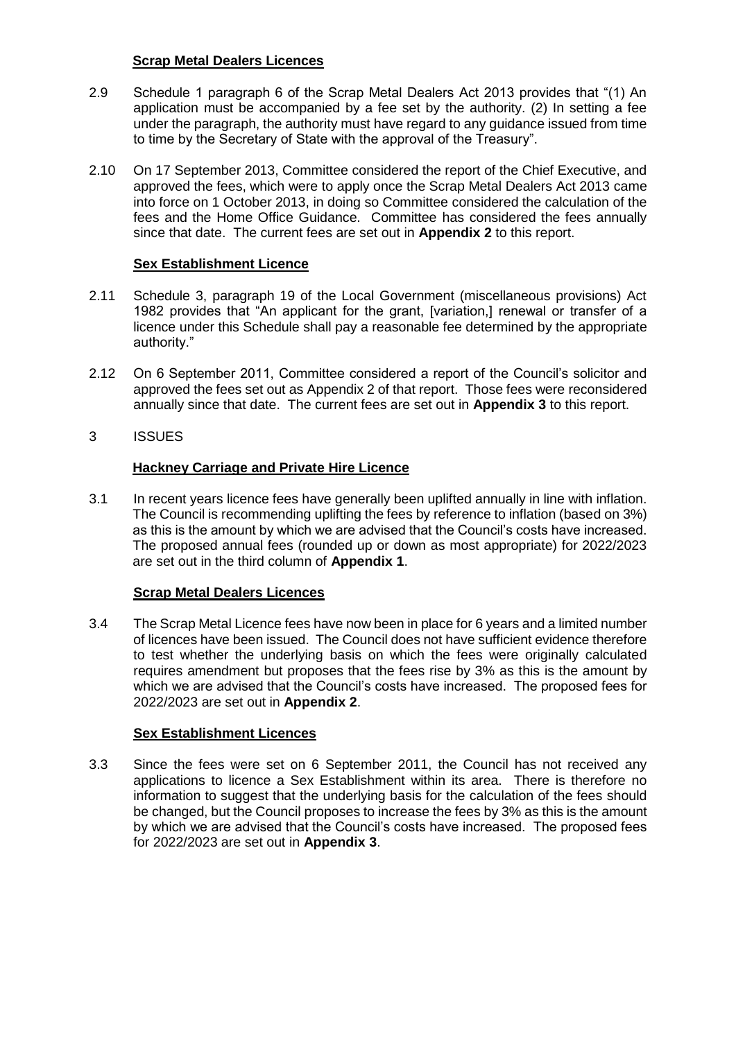# **Scrap Metal Dealers Licences**

- 2.9 Schedule 1 paragraph 6 of the Scrap Metal Dealers Act 2013 provides that "(1) An application must be accompanied by a fee set by the authority. (2) In setting a fee under the paragraph, the authority must have regard to any guidance issued from time to time by the Secretary of State with the approval of the Treasury".
- 2.10 On 17 September 2013, Committee considered the report of the Chief Executive, and approved the fees, which were to apply once the Scrap Metal Dealers Act 2013 came into force on 1 October 2013, in doing so Committee considered the calculation of the fees and the Home Office Guidance. Committee has considered the fees annually since that date. The current fees are set out in **Appendix 2** to this report.

# **Sex Establishment Licence**

- 2.11 Schedule 3, paragraph 19 of the Local Government (miscellaneous provisions) Act 1982 provides that "An applicant for the grant, [variation,] renewal or transfer of a licence under this Schedule shall pay a reasonable fee determined by the appropriate authority."
- 2.12 On 6 September 2011, Committee considered a report of the Council's solicitor and approved the fees set out as Appendix 2 of that report. Those fees were reconsidered annually since that date. The current fees are set out in **Appendix 3** to this report.
- 3 ISSUES

# **Hackney Carriage and Private Hire Licence**

3.1 In recent years licence fees have generally been uplifted annually in line with inflation. The Council is recommending uplifting the fees by reference to inflation (based on 3%) as this is the amount by which we are advised that the Council's costs have increased. The proposed annual fees (rounded up or down as most appropriate) for 2022/2023 are set out in the third column of **Appendix 1**.

# **Scrap Metal Dealers Licences**

3.4 The Scrap Metal Licence fees have now been in place for 6 years and a limited number of licences have been issued. The Council does not have sufficient evidence therefore to test whether the underlying basis on which the fees were originally calculated requires amendment but proposes that the fees rise by 3% as this is the amount by which we are advised that the Council's costs have increased. The proposed fees for 2022/2023 are set out in **Appendix 2**.

# **Sex Establishment Licences**

3.3 Since the fees were set on 6 September 2011, the Council has not received any applications to licence a Sex Establishment within its area. There is therefore no information to suggest that the underlying basis for the calculation of the fees should be changed, but the Council proposes to increase the fees by 3% as this is the amount by which we are advised that the Council's costs have increased. The proposed fees for 2022/2023 are set out in **Appendix 3**.